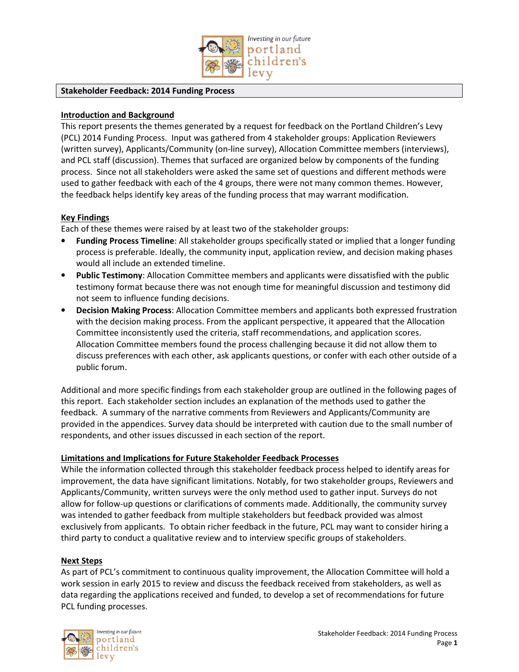

#### **Stakeholder Feedback: 2014 Funding Process**

### **Introduction and Background**

This report presents the themes generated by a request for feedback on the Portland Children's Levy (PCL) 2014 Funding Process. Input was gathered from 4 stakeholder groups: Application Reviewers (written survey), Applicants/Community (on-line survey), Allocation Committee members (interviews), and PCL staff (discussion). Themes that surfaced are organized below by components of the funding process. Since not all stakeholders were asked the same set of questions and different methods were used to gather feedback with each of the 4 groups, there were not many common themes. However, the feedback helps identify key areas of the funding process that may warrant modification.

#### **Key Findings**

Each of these themes were raised by at least two of the stakeholder groups:

- **Funding Process Timeline**: All stakeholder groups specifically stated or implied that a longer funding process is preferable. Ideally, the community input, application review, and decision making phases would all include an extended timeline.
- **Public Testimony**: Allocation Committee members and applicants were dissatisfied with the public testimony format because there was not enough time for meaningful discussion and testimony did not seem to influence funding decisions.
- **Decision Making Process**: Allocation Committee members and applicants both expressed frustration with the decision making process. From the applicant perspective, it appeared that the Allocation Committee inconsistently used the criteria, staff recommendations, and application scores. Allocation Committee members found the process challenging because it did not allow them to discuss preferences with each other, ask applicants questions, or confer with each other outside of a public forum.

Additional and more specific findings from each stakeholder group are outlined in the following pages of this report. Each stakeholder section includes an explanation of the methods used to gather the feedback. A summary of the narrative comments from Reviewers and Applicants/Community are provided in the appendices. Survey data should be interpreted with caution due to the small number of respondents, and other issues discussed in each section of the report.

#### **Limitations and Implications for Future Stakeholder Feedback Processes**

While the information collected through this stakeholder feedback process helped to identify areas for improvement, the data have significant limitations. Notably, for two stakeholder groups, Reviewers and Applicants/Community, written surveys were the only method used to gather input. Surveys do not allow for follow-up questions or clarifications of comments made. Additionally, the community survey was intended to gather feedback from multiple stakeholders but feedback provided was almost exclusively from applicants. To obtain richer feedback in the future, PCL may want to consider hiring a third party to conduct a qualitative review and to interview specific groups of stakeholders.

#### **Next Steps**

As part of PCL's commitment to continuous quality improvement, the Allocation Committee will hold a work session in early 2015 to review and discuss the feedback received from stakeholders, as well as data regarding the applications received and funded, to develop a set of recommendations for future PCL funding processes.

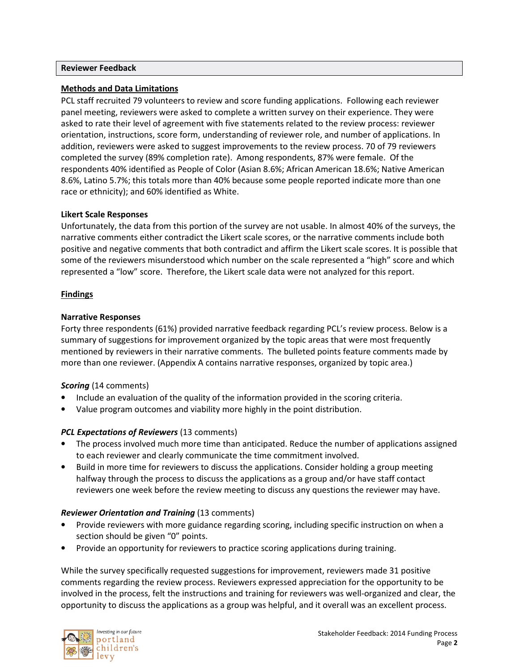#### **Reviewer Feedback**

# **Methods and Data Limitations**

PCL staff recruited 79 volunteers to review and score funding applications. Following each reviewer panel meeting, reviewers were asked to complete a written survey on their experience. They were asked to rate their level of agreement with five statements related to the review process: reviewer orientation, instructions, score form, understanding of reviewer role, and number of applications. In addition, reviewers were asked to suggest improvements to the review process. 70 of 79 reviewers completed the survey (89% completion rate). Among respondents, 87% were female. Of the respondents 40% identified as People of Color (Asian 8.6%; African American 18.6%; Native American 8.6%, Latino 5.7%; this totals more than 40% because some people reported indicate more than one race or ethnicity); and 60% identified as White.

#### **Likert Scale Responses**

Unfortunately, the data from this portion of the survey are not usable. In almost 40% of the surveys, the narrative comments either contradict the Likert scale scores, or the narrative comments include both positive and negative comments that both contradict and affirm the Likert scale scores. It is possible that some of the reviewers misunderstood which number on the scale represented a "high" score and which represented a "low" score. Therefore, the Likert scale data were not analyzed for this report.

## **Findings**

#### **Narrative Responses**

Forty three respondents (61%) provided narrative feedback regarding PCL's review process. Below is a summary of suggestions for improvement organized by the topic areas that were most frequently mentioned by reviewers in their narrative comments. The bulleted points feature comments made by more than one reviewer. (Appendix A contains narrative responses, organized by topic area.)

#### *Scoring* (14 comments)

- Include an evaluation of the quality of the information provided in the scoring criteria.
- Value program outcomes and viability more highly in the point distribution.

# *PCL Expectations of Reviewers* (13 comments)

- The process involved much more time than anticipated. Reduce the number of applications assigned to each reviewer and clearly communicate the time commitment involved.
- Build in more time for reviewers to discuss the applications. Consider holding a group meeting halfway through the process to discuss the applications as a group and/or have staff contact reviewers one week before the review meeting to discuss any questions the reviewer may have.

#### *Reviewer Orientation and Training* (13 comments)

- Provide reviewers with more guidance regarding scoring, including specific instruction on when a section should be given "0" points.
- Provide an opportunity for reviewers to practice scoring applications during training.

While the survey specifically requested suggestions for improvement, reviewers made 31 positive comments regarding the review process. Reviewers expressed appreciation for the opportunity to be involved in the process, felt the instructions and training for reviewers was well-organized and clear, the opportunity to discuss the applications as a group was helpful, and it overall was an excellent process.

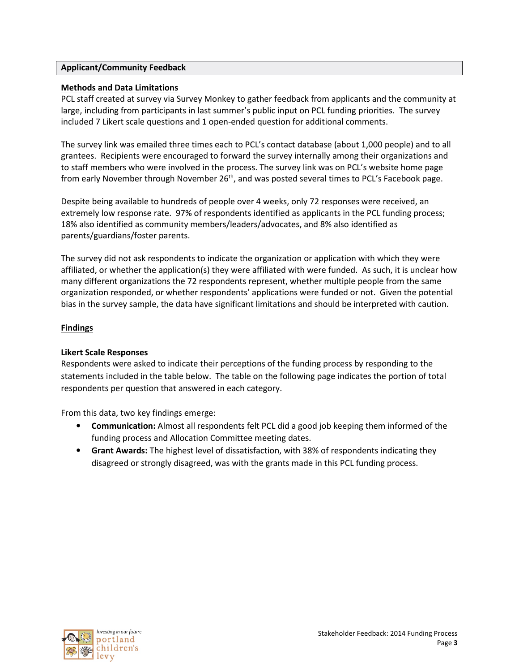## **Applicant/Community Feedback**

## **Methods and Data Limitations**

PCL staff created at survey via Survey Monkey to gather feedback from applicants and the community at large, including from participants in last summer's public input on PCL funding priorities. The survey included 7 Likert scale questions and 1 open-ended question for additional comments.

The survey link was emailed three times each to PCL's contact database (about 1,000 people) and to all grantees. Recipients were encouraged to forward the survey internally among their organizations and to staff members who were involved in the process. The survey link was on PCL's website home page from early November through November 26<sup>th</sup>, and was posted several times to PCL's Facebook page.

Despite being available to hundreds of people over 4 weeks, only 72 responses were received, an extremely low response rate. 97% of respondents identified as applicants in the PCL funding process; 18% also identified as community members/leaders/advocates, and 8% also identified as parents/guardians/foster parents.

The survey did not ask respondents to indicate the organization or application with which they were affiliated, or whether the application(s) they were affiliated with were funded. As such, it is unclear how many different organizations the 72 respondents represent, whether multiple people from the same organization responded, or whether respondents' applications were funded or not. Given the potential bias in the survey sample, the data have significant limitations and should be interpreted with caution.

## **Findings**

#### **Likert Scale Responses**

Respondents were asked to indicate their perceptions of the funding process by responding to the statements included in the table below. The table on the following page indicates the portion of total respondents per question that answered in each category.

From this data, two key findings emerge:

- **Communication:** Almost all respondents felt PCL did a good job keeping them informed of the funding process and Allocation Committee meeting dates.
- **Grant Awards:** The highest level of dissatisfaction, with 38% of respondents indicating they disagreed or strongly disagreed, was with the grants made in this PCL funding process.

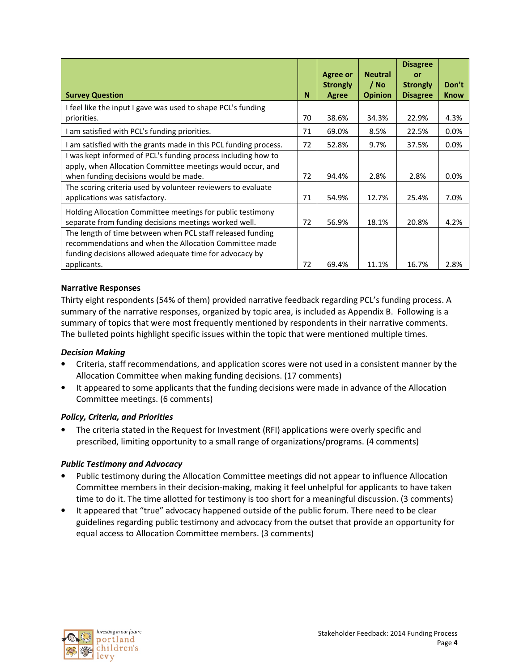|                                                                  |    | <b>Agree or</b><br><b>Strongly</b> | <b>Neutral</b><br>/ No | <b>Disagree</b><br>or<br><b>Strongly</b> | Don't       |
|------------------------------------------------------------------|----|------------------------------------|------------------------|------------------------------------------|-------------|
| <b>Survey Question</b>                                           | N  | <b>Agree</b>                       | <b>Opinion</b>         | <b>Disagree</b>                          | <b>Know</b> |
| I feel like the input I gave was used to shape PCL's funding     |    |                                    |                        |                                          |             |
| priorities.                                                      | 70 | 38.6%                              | 34.3%                  | 22.9%                                    | 4.3%        |
| I am satisfied with PCL's funding priorities.                    | 71 | 69.0%                              | 8.5%                   | 22.5%                                    | 0.0%        |
| I am satisfied with the grants made in this PCL funding process. | 72 | 52.8%                              | 9.7%                   | 37.5%                                    | $0.0\%$     |
| I was kept informed of PCL's funding process including how to    |    |                                    |                        |                                          |             |
| apply, when Allocation Committee meetings would occur, and       |    |                                    |                        |                                          |             |
| when funding decisions would be made.                            | 72 | 94.4%                              | 2.8%                   | 2.8%                                     | $0.0\%$     |
| The scoring criteria used by volunteer reviewers to evaluate     |    |                                    |                        |                                          |             |
| applications was satisfactory.                                   | 71 | 54.9%                              | 12.7%                  | 25.4%                                    | 7.0%        |
| Holding Allocation Committee meetings for public testimony       |    |                                    |                        |                                          |             |
| separate from funding decisions meetings worked well.            | 72 | 56.9%                              | 18.1%                  | 20.8%                                    | 4.2%        |
| The length of time between when PCL staff released funding       |    |                                    |                        |                                          |             |
| recommendations and when the Allocation Committee made           |    |                                    |                        |                                          |             |
| funding decisions allowed adequate time for advocacy by          |    |                                    |                        |                                          |             |
| applicants.                                                      | 72 | 69.4%                              | 11.1%                  | 16.7%                                    | 2.8%        |

## **Narrative Responses**

Thirty eight respondents (54% of them) provided narrative feedback regarding PCL's funding process. A summary of the narrative responses, organized by topic area, is included as Appendix B. Following is a summary of topics that were most frequently mentioned by respondents in their narrative comments. The bulleted points highlight specific issues within the topic that were mentioned multiple times.

#### *Decision Making*

- Criteria, staff recommendations, and application scores were not used in a consistent manner by the Allocation Committee when making funding decisions. (17 comments)
- It appeared to some applicants that the funding decisions were made in advance of the Allocation Committee meetings. (6 comments)

#### *Policy, Criteria, and Priorities*

• The criteria stated in the Request for Investment (RFI) applications were overly specific and prescribed, limiting opportunity to a small range of organizations/programs. (4 comments)

#### *Public Testimony and Advocacy*

- Public testimony during the Allocation Committee meetings did not appear to influence Allocation Committee members in their decision-making, making it feel unhelpful for applicants to have taken time to do it. The time allotted for testimony is too short for a meaningful discussion. (3 comments)
- It appeared that "true" advocacy happened outside of the public forum. There need to be clear guidelines regarding public testimony and advocacy from the outset that provide an opportunity for equal access to Allocation Committee members. (3 comments)

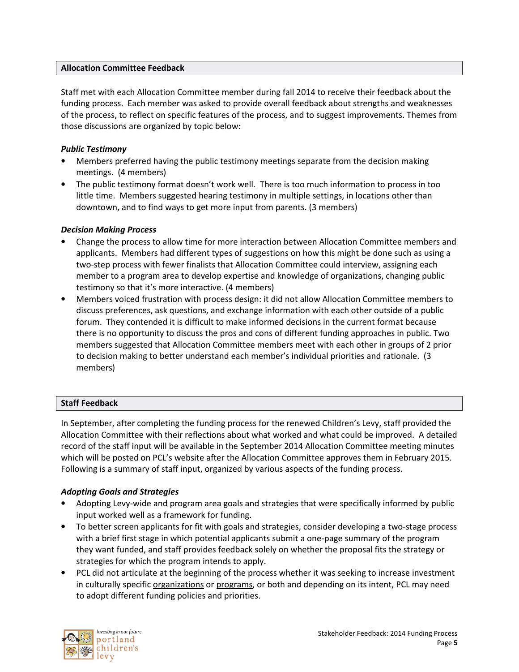### **Allocation Committee Feedback**

Staff met with each Allocation Committee member during fall 2014 to receive their feedback about the funding process. Each member was asked to provide overall feedback about strengths and weaknesses of the process, to reflect on specific features of the process, and to suggest improvements. Themes from those discussions are organized by topic below:

# *Public Testimony*

- Members preferred having the public testimony meetings separate from the decision making meetings. (4 members)
- The public testimony format doesn't work well. There is too much information to process in too little time. Members suggested hearing testimony in multiple settings, in locations other than downtown, and to find ways to get more input from parents. (3 members)

# *Decision Making Process*

- Change the process to allow time for more interaction between Allocation Committee members and applicants. Members had different types of suggestions on how this might be done such as using a two-step process with fewer finalists that Allocation Committee could interview, assigning each member to a program area to develop expertise and knowledge of organizations, changing public testimony so that it's more interactive. (4 members)
- Members voiced frustration with process design: it did not allow Allocation Committee members to discuss preferences, ask questions, and exchange information with each other outside of a public forum. They contended it is difficult to make informed decisions in the current format because there is no opportunity to discuss the pros and cons of different funding approaches in public. Two members suggested that Allocation Committee members meet with each other in groups of 2 prior to decision making to better understand each member's individual priorities and rationale. (3 members)

# **Staff Feedback**

In September, after completing the funding process for the renewed Children's Levy, staff provided the Allocation Committee with their reflections about what worked and what could be improved. A detailed record of the staff input will be available in the September 2014 Allocation Committee meeting minutes which will be posted on PCL's website after the Allocation Committee approves them in February 2015. Following is a summary of staff input, organized by various aspects of the funding process.

# *Adopting Goals and Strategies*

- Adopting Levy-wide and program area goals and strategies that were specifically informed by public input worked well as a framework for funding.
- To better screen applicants for fit with goals and strategies, consider developing a two-stage process with a brief first stage in which potential applicants submit a one-page summary of the program they want funded, and staff provides feedback solely on whether the proposal fits the strategy or strategies for which the program intends to apply.
- PCL did not articulate at the beginning of the process whether it was seeking to increase investment in culturally specific organizations or programs, or both and depending on its intent, PCL may need to adopt different funding policies and priorities.

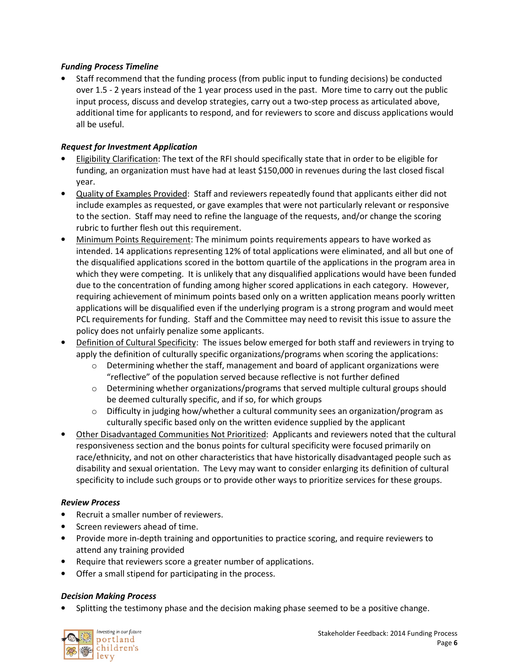# *Funding Process Timeline*

• Staff recommend that the funding process (from public input to funding decisions) be conducted over 1.5 - 2 years instead of the 1 year process used in the past. More time to carry out the public input process, discuss and develop strategies, carry out a two-step process as articulated above, additional time for applicants to respond, and for reviewers to score and discuss applications would all be useful.

# *Request for Investment Application*

- Eligibility Clarification: The text of the RFI should specifically state that in order to be eligible for funding, an organization must have had at least \$150,000 in revenues during the last closed fiscal year.
- Quality of Examples Provided: Staff and reviewers repeatedly found that applicants either did not include examples as requested, or gave examples that were not particularly relevant or responsive to the section. Staff may need to refine the language of the requests, and/or change the scoring rubric to further flesh out this requirement.
- Minimum Points Requirement: The minimum points requirements appears to have worked as intended. 14 applications representing 12% of total applications were eliminated, and all but one of the disqualified applications scored in the bottom quartile of the applications in the program area in which they were competing. It is unlikely that any disqualified applications would have been funded due to the concentration of funding among higher scored applications in each category. However, requiring achievement of minimum points based only on a written application means poorly written applications will be disqualified even if the underlying program is a strong program and would meet PCL requirements for funding. Staff and the Committee may need to revisit this issue to assure the policy does not unfairly penalize some applicants.
- Definition of Cultural Specificity: The issues below emerged for both staff and reviewers in trying to apply the definition of culturally specific organizations/programs when scoring the applications:
	- $\circ$  Determining whether the staff, management and board of applicant organizations were "reflective" of the population served because reflective is not further defined
	- $\circ$  Determining whether organizations/programs that served multiple cultural groups should be deemed culturally specific, and if so, for which groups
	- $\circ$  Difficulty in judging how/whether a cultural community sees an organization/program as culturally specific based only on the written evidence supplied by the applicant
- Other Disadvantaged Communities Not Prioritized: Applicants and reviewers noted that the cultural responsiveness section and the bonus points for cultural specificity were focused primarily on race/ethnicity, and not on other characteristics that have historically disadvantaged people such as disability and sexual orientation. The Levy may want to consider enlarging its definition of cultural specificity to include such groups or to provide other ways to prioritize services for these groups.

#### *Review Process*

- Recruit a smaller number of reviewers.
- Screen reviewers ahead of time.
- Provide more in-depth training and opportunities to practice scoring, and require reviewers to attend any training provided
- Require that reviewers score a greater number of applications.
- Offer a small stipend for participating in the process.

#### *Decision Making Process*

• Splitting the testimony phase and the decision making phase seemed to be a positive change.

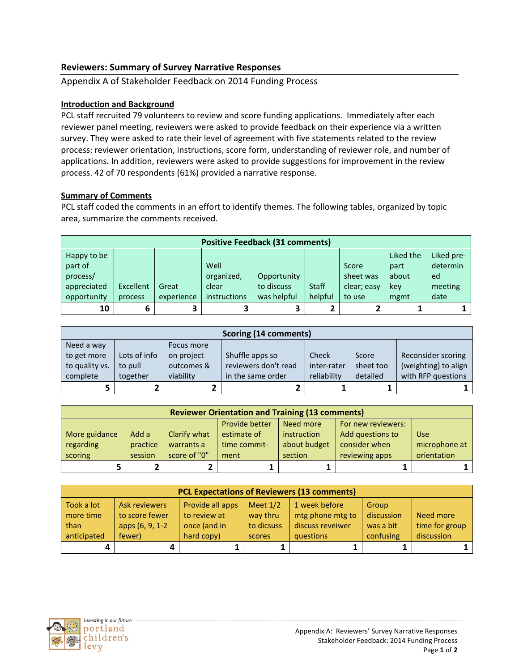# **Reviewers: Summary of Survey Narrative Responses**

Appendix A of Stakeholder Feedback on 2014 Funding Process

## **Introduction and Background**

PCL staff recruited 79 volunteers to review and score funding applications. Immediately after each reviewer panel meeting, reviewers were asked to provide feedback on their experience via a written survey. They were asked to rate their level of agreement with five statements related to the review process: reviewer orientation, instructions, score form, understanding of reviewer role, and number of applications. In addition, reviewers were asked to provide suggestions for improvement in the review process. 42 of 70 respondents (61%) provided a narrative response.

## **Summary of Comments**

PCL staff coded the comments in an effort to identify themes. The following tables, organized by topic area, summarize the comments received.

|             | <b>Positive Feedback (31 comments)</b> |            |              |             |              |             |           |            |  |  |
|-------------|----------------------------------------|------------|--------------|-------------|--------------|-------------|-----------|------------|--|--|
| Happy to be |                                        |            |              |             |              |             | Liked the | Liked pre- |  |  |
| part of     |                                        |            | Well         |             |              | Score       | part      | determin   |  |  |
| process/    |                                        |            | organized,   | Opportunity |              | sheet was   | about     | ed         |  |  |
| appreciated | Excellent                              | Great      | clear        | to discuss  | <b>Staff</b> | clear; easy | key       | meeting    |  |  |
| opportunity | process                                | experience | instructions | was helpful | helpful      | to use      | mgmt      | date       |  |  |
| 10          |                                        |            |              |             |              |             |           |            |  |  |

|                | Scoring (14 comments) |            |                      |              |              |                      |  |  |  |  |
|----------------|-----------------------|------------|----------------------|--------------|--------------|----------------------|--|--|--|--|
| Need a way     |                       | Focus more |                      |              |              |                      |  |  |  |  |
| to get more    | Lots of info          | on project | Shuffle apps so      | <b>Check</b> | <b>Score</b> | Reconsider scoring   |  |  |  |  |
| to quality vs. | to pull               | outcomes & | reviewers don't read | inter-rater  | sheet too    | (weighting) to align |  |  |  |  |
| complete       | together              | viability  | in the same order    | reliability  | detailed     | with RFP questions   |  |  |  |  |
| 5              |                       |            |                      |              |              |                      |  |  |  |  |

| <b>Reviewer Orientation and Training (13 comments)</b> |          |              |              |              |                  |               |  |  |  |
|--------------------------------------------------------|----------|--------------|--------------|--------------|------------------|---------------|--|--|--|
| Provide better<br>Need more<br>For new reviewers:      |          |              |              |              |                  |               |  |  |  |
| More guidance                                          | Add a    | Clarify what | estimate of  | instruction  | Add questions to | <b>Use</b>    |  |  |  |
| regarding                                              | practice | warrants a   | time commit- | about budget | consider when    | microphone at |  |  |  |
| scoring                                                | session  | score of "0" | ment         | section      | reviewing apps   | orientation   |  |  |  |
|                                                        |          |              |              |              |                  |               |  |  |  |

| <b>PCL Expectations of Reviewers (13 comments)</b> |                      |                  |            |                  |            |                |  |  |  |
|----------------------------------------------------|----------------------|------------------|------------|------------------|------------|----------------|--|--|--|
| Took a lot                                         | <b>Ask reviewers</b> | Provide all apps | Meet $1/2$ | 1 week before    | Group      |                |  |  |  |
| more time                                          | to score fewer       | to review at     | way thru   | mtg phone mtg to | discussion | Need more      |  |  |  |
| than                                               | apps (6, 9, 1-2      | once (and in     | to dicsuss | discuss reveiwer | was a bit  | time for group |  |  |  |
| anticipated                                        | fewer)               | hard copy)       | scores     | questions        | confusing  | discussion     |  |  |  |
| 4                                                  | 4                    |                  |            |                  |            |                |  |  |  |

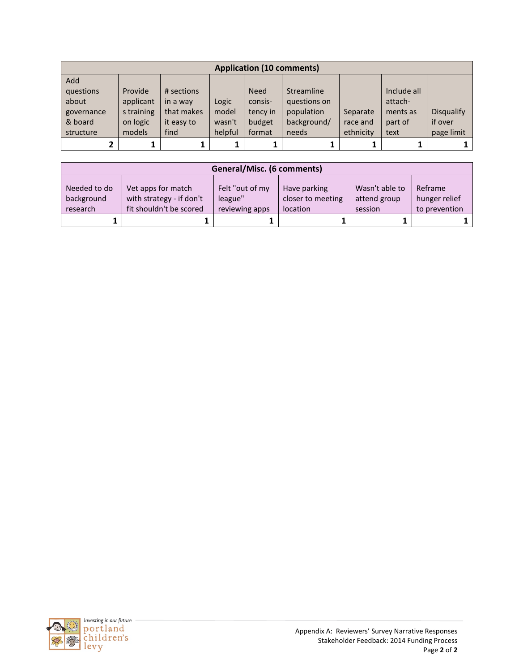| <b>Application (10 comments)</b> |            |            |         |             |              |           |             |            |  |  |
|----------------------------------|------------|------------|---------|-------------|--------------|-----------|-------------|------------|--|--|
| Add                              |            |            |         |             |              |           |             |            |  |  |
| questions                        | Provide    | # sections |         | <b>Need</b> | Streamline   |           | Include all |            |  |  |
| about                            | applicant  | in a way   | Logic   | consis-     | questions on |           | attach-     |            |  |  |
| governance                       | s training | that makes | model   | tency in    | population   | Separate  | ments as    | Disqualify |  |  |
| & board                          | on logic   | it easy to | wasn't  | budget      | background/  | race and  | part of     | if over    |  |  |
| structure                        | models     | find       | helpful | format      | needs        | ethnicity | text        | page limit |  |  |
|                                  |            |            |         |             |              |           |             |            |  |  |

| General/Misc. (6 comments)             |                                                                           |                                              |                                               |                                           |                                           |  |  |  |
|----------------------------------------|---------------------------------------------------------------------------|----------------------------------------------|-----------------------------------------------|-------------------------------------------|-------------------------------------------|--|--|--|
| Needed to do<br>background<br>research | Vet apps for match<br>with strategy - if don't<br>fit shouldn't be scored | Felt "out of my<br>league"<br>reviewing apps | Have parking<br>closer to meeting<br>location | Wasn't able to<br>attend group<br>session | Reframe<br>hunger relief<br>to prevention |  |  |  |
|                                        |                                                                           |                                              |                                               |                                           |                                           |  |  |  |

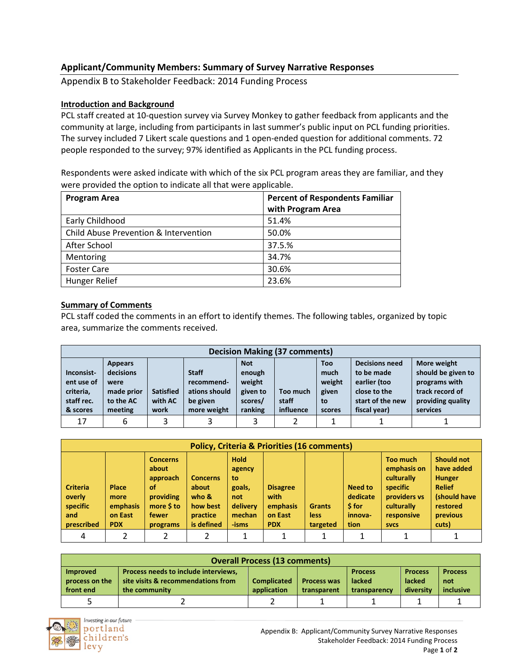# **Applicant/Community Members: Summary of Survey Narrative Responses**

Appendix B to Stakeholder Feedback: 2014 Funding Process

# **Introduction and Background**

PCL staff created at 10-question survey via Survey Monkey to gather feedback from applicants and the community at large, including from participants in last summer's public input on PCL funding priorities. The survey included 7 Likert scale questions and 1 open-ended question for additional comments. 72 people responded to the survey; 97% identified as Applicants in the PCL funding process.

Respondents were asked indicate with which of the six PCL program areas they are familiar, and they were provided the option to indicate all that were applicable.

| <b>Program Area</b>                   | <b>Percent of Respondents Familiar</b> |  |  |
|---------------------------------------|----------------------------------------|--|--|
|                                       | with Program Area                      |  |  |
| Early Childhood                       | 51.4%                                  |  |  |
| Child Abuse Prevention & Intervention | 50.0%                                  |  |  |
| After School                          | 37.5.%                                 |  |  |
| Mentoring                             | 34.7%                                  |  |  |
| <b>Foster Care</b>                    | 30.6%                                  |  |  |
| Hunger Relief                         | 23.6%                                  |  |  |

#### **Summary of Comments**

PCL staff coded the comments in an effort to identify themes. The following tables, organized by topic area, summarize the comments received.

|                                                                 | <b>Decision Making (37 comments)</b>                                      |                                     |                                                                        |                                                                  |                                |                                                       |                                                                                                         |                                                                                                        |  |  |
|-----------------------------------------------------------------|---------------------------------------------------------------------------|-------------------------------------|------------------------------------------------------------------------|------------------------------------------------------------------|--------------------------------|-------------------------------------------------------|---------------------------------------------------------------------------------------------------------|--------------------------------------------------------------------------------------------------------|--|--|
| Inconsist-<br>ent use of<br>criteria,<br>staff rec.<br>& scores | <b>Appears</b><br>decisions<br>were<br>made prior<br>to the AC<br>meeting | <b>Satisfied</b><br>with AC<br>work | <b>Staff</b><br>recommend-<br>ations should<br>be given<br>more weight | <b>Not</b><br>enough<br>weight<br>given to<br>scores/<br>ranking | Too much<br>staff<br>influence | <b>Too</b><br>much<br>weight<br>given<br>to<br>scores | <b>Decisions need</b><br>to be made<br>earlier (too<br>close to the<br>start of the new<br>fiscal year) | More weight<br>should be given to<br>programs with<br>track record of<br>providing quality<br>services |  |  |
| 17                                                              | 6                                                                         | 3                                   |                                                                        | 3                                                                |                                |                                                       |                                                                                                         |                                                                                                        |  |  |

|                                                            | <b>Policy, Criteria &amp; Priorities (16 comments)</b>    |                                                                                            |                                                                            |                                                                             |                                                              |                                          |                                                         |                                                                                                                     |                                                                                                                    |
|------------------------------------------------------------|-----------------------------------------------------------|--------------------------------------------------------------------------------------------|----------------------------------------------------------------------------|-----------------------------------------------------------------------------|--------------------------------------------------------------|------------------------------------------|---------------------------------------------------------|---------------------------------------------------------------------------------------------------------------------|--------------------------------------------------------------------------------------------------------------------|
| <b>Criteria</b><br>overly<br>specific<br>and<br>prescribed | <b>Place</b><br>more<br>emphasis<br>on East<br><b>PDX</b> | <b>Concerns</b><br>about<br>approach<br>οf<br>providing<br>more \$ to<br>fewer<br>programs | <b>Concerns</b><br>about<br>who $\&$<br>how best<br>practice<br>is defined | <b>Hold</b><br>agency<br>to<br>goals,<br>not<br>delivery<br>mechan<br>-isms | <b>Disagree</b><br>with<br>emphasis<br>on East<br><b>PDX</b> | <b>Grants</b><br><b>less</b><br>targeted | <b>Need to</b><br>dedicate<br>\$ for<br>innova-<br>tion | <b>Too much</b><br>emphasis on<br>culturally<br>specific<br>providers vs<br>culturally<br>responsive<br><b>SVCS</b> | <b>Should not</b><br>have added<br><b>Hunger</b><br><b>Relief</b><br>(should have<br>restored<br>previous<br>cuts) |
| 4                                                          |                                                           | ำ                                                                                          | $\mathcal{D}$                                                              |                                                                             |                                                              |                                          |                                                         |                                                                                                                     |                                                                                                                    |

|                 | <b>Overall Process (13 comments)</b> |                    |                    |                |                |                |  |  |  |  |
|-----------------|--------------------------------------|--------------------|--------------------|----------------|----------------|----------------|--|--|--|--|
| <b>Improved</b> | Process needs to include interviews, |                    |                    | <b>Process</b> | <b>Process</b> | <b>Process</b> |  |  |  |  |
| process on the  | site visits & recommendations from   | <b>Complicated</b> | <b>Process was</b> | <b>lacked</b>  | lacked         | not            |  |  |  |  |
| front end       | the community                        | application        | transparent        | transparency   | diversity      | inclusive      |  |  |  |  |
|                 |                                      |                    |                    |                |                |                |  |  |  |  |